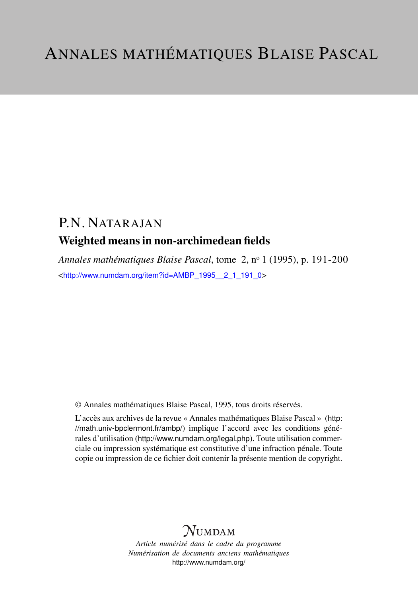# P.N. NATARAJAN Weighted means in non-archimedean fields

*Annales mathématiques Blaise Pascal*, tome 2, n<sup>o</sup> 1 (1995), p. 191-200 <[http://www.numdam.org/item?id=AMBP\\_1995\\_\\_2\\_1\\_191\\_0](http://www.numdam.org/item?id=AMBP_1995__2_1_191_0)>

© Annales mathématiques Blaise Pascal, 1995, tous droits réservés.

L'accès aux archives de la revue « Annales mathématiques Blaise Pascal » ([http:](http://math.univ-bpclermont.fr/ambp/) [//math.univ-bpclermont.fr/ambp/](http://math.univ-bpclermont.fr/ambp/)) implique l'accord avec les conditions générales d'utilisation (<http://www.numdam.org/legal.php>). Toute utilisation commerciale ou impression systématique est constitutive d'une infraction pénale. Toute copie ou impression de ce fichier doit contenir la présente mention de copyright.

# **NUMDAM**

*Article numérisé dans le cadre du programme Numérisation de documents anciens mathématiques* <http://www.numdam.org/>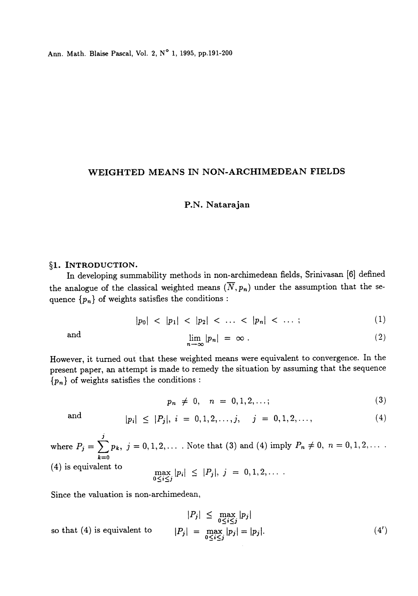Ann. Math. Blaise Pascal, Vol. 2, N° 1, 1995, pp.191-200

## WEIGHTED MEANS IN NON-ARCHIMEDEAN FIELDS

## P.N. Natarajan

#### §1. INTRODUCTION.

In developing summability methods in non-archimedean fields, Srinivasan [6] defined the analogue of the classical weighted means  $(\overline{N}, p_n)$  under the assumption that the sequence  $\{p_n\}$  of weights satisfies the conditions :

$$
|p_0| < |p_1| < |p_2| < \ldots < |p_n| < \ldots ; \tag{1}
$$

and 
$$
\lim_{n \to \infty} |p_n| = \infty.
$$
 (2)

However, it turned out that these weighted means were equivalent to convergence. In the present paper, an attempt is made to remedy the situation by assuming that the sequence  ${p_n}$  of weights satisfies the conditions :

$$
p_n \neq 0, \quad n = 0, 1, 2, \ldots; \tag{3}
$$

and 
$$
|p_i| \leq |P_j|, i = 0, 1, 2, ..., j, j = 0, 1, 2, ...,
$$
 (4)

where  $P_j = \sum_{n=1}^j p_k$ ,  $j = 0, 1, 2, \ldots$ . Note that (3) and (4) imply  $P_n \neq 0$ ,  $n = 0, 1, 2, \ldots$ . (4) is equivalent to

$$
\max_{0 \le i \le j} |p_i| \le |P_j|, \; j = 0, 1, 2, \ldots
$$

Since the valuation is non-archimedean,

$$
|P_j| \le \max_{0 \le i \le j} |p_j|
$$
  
so that (4) is equivalent to 
$$
|P_j| = \max_{0 \le i \le j} |p_j| = |p_j|.
$$
 (4')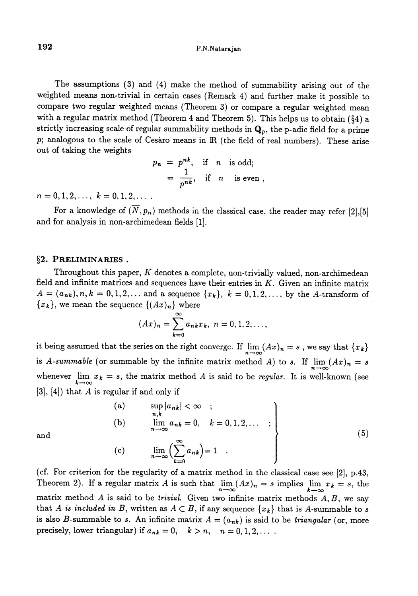The assumptions (3) and (4) make the method of summability arising out of the weighted means non-trivial in certain cases (Remark 4) and further make it possible to compare two regular weighted means (Theorem 3) or compare a regular weighted mean with a regular matrix method (Theorem 4 and Theorem 5). This helps us to obtain ( $\S 4$ ) a strictly increasing scale of regular summability methods in  $\mathbf{Q}_p$ , the p-adic field for a prime p; analogous to the scale of Cesaro means in IR (the field of real numbers). These arise out of taking the weights

$$
p_n = p^{nk}, \text{ if } n \text{ is odd};
$$
  
=  $\frac{1}{p^{nk}}, \text{ if } n \text{ is even}.$ 

 $n = 0, 1, 2, \ldots, k = 0, 1, 2, \ldots$ 

For a knowledge of  $(\overline{N}, p_n)$  methods in the classical case, the reader may refer [2],[5] and for analysis in non-archimedean fields [1].

### §2. PRELIMINARIES.

Throughout this paper,  $K$  denotes a complete, non-trivially valued, non-archimedean field and infinite matrices and sequences have their entries in  $K$ . Given an infinite matrix  $A = (a_{nk}), n, k = 0, 1, 2, ...$  and a sequence  $\{x_k\}, k = 0, 1, 2, ...$ , by the A-transform of  ${x_k}$ , we mean the sequence  ${(Ax)_n}$  where

$$
(Ax)_n = \sum_{k=0}^{\infty} a_{nk} x_k, \ n = 0, 1, 2, \dots,
$$

it being assumed that the series on the right converge. If  $\lim_{n\to\infty} (Ax)_n = s$ , we say that  $\{x_k\}$ is A-summable (or summable by the infinite matrix method A) to s. If  $\lim_{n\to\infty} (Ax)_n = s$ whenever  $\lim_{k \to \infty} x_k = s$ , the matrix method A is said to be *regular*. It is well-known (see  $[3]$ ,  $[4]$ ) that A is regular if and only if

(a) 
$$
\sup_{n,k} |a_{nk}| < \infty ;
$$
  
\n(b) 
$$
\lim_{n \to \infty} a_{nk} = 0, \quad k = 0, 1, 2, \dots ;
$$
  
\n(c) 
$$
\lim_{n \to \infty} \left( \sum_{k=0}^{\infty} a_{nk} \right) = 1 .
$$
\n
$$
(5)
$$

(c) 
$$
\lim_{n \to \infty} \left( \sum_{k=0}^{\infty} a_{nk} \right) = 1 .
$$

(cf. For criterion for the regularity of a matrix method in the classical case see [2], p.43, Theorem 2). If a regular matrix A is such that  $\lim_{n\to\infty} (Ax)_n = s$  implies  $\lim_{k\to\infty} x_k = s$ , the matrix method  $A$  is said to be *trivial*. Given two infinite matrix methods  $A, B$ , we say that A is included in B, written as  $A \subset B$ , if any sequence  $\{x_k\}$  that is A-summable to s is also B-summable to s. An infinite matrix  $A = (a_{nk})$  is said to be *triangular* (or, more precisely, lower triangular) if  $a_{nk} = 0$ ,  $k > n$ ,  $n = 0, 1, 2, \ldots$ .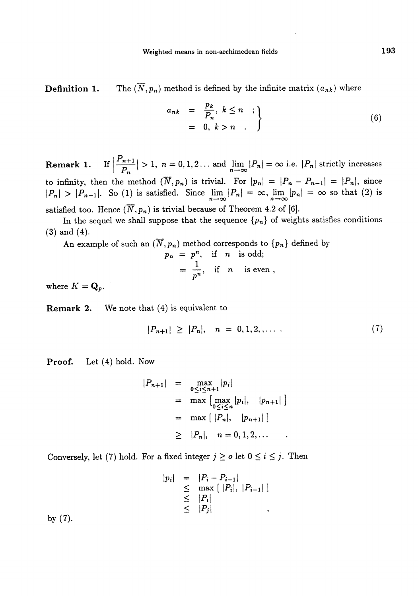**Definition 1.** The  $(\overline{N}, p_n)$  method is defined by the infinite matrix  $(a_{nk})$  where

$$
a_{nk} = \frac{p_k}{P_n}, k \leq n ;
$$
  
= 0,  $k > n$ . (6)

**Remark 1.** If  $\left|\frac{P_{n+1}}{P_n}\right| > 1$ ,  $n = 0, 1, 2...$  and  $\lim_{n \to \infty} |P_n| = \infty$  i.e.  $|P_n|$  strictly increases to infinity, then the method  $(\overline{N}, p_n)$  is trivial. For  $|p_n| = |P_n - P_{n-1}| = |P_n|$ , since  $|P_n| > |P_{n-1}|$ . So (1) is satisfied. Since  $\lim_{n \to \infty} |P_n| = \infty$ ,  $\lim_{n \to \infty} |p_n| = \infty$  so that (2) is satisfied too. Hence  $(\overline{N}, p_n)$  is trivial because of Theorem 4.2 of [6].

In the sequel we shall suppose that the sequence  $\{p_n\}$  of weights satisfies conditions

(3) and (4).

An example of such an  $(N, p_n)$  method corresponds to  $\{p_n\}$  defined by

$$
p_n = p^n, \text{ if } n \text{ is odd};
$$
  
=  $\frac{1}{p^n}$ , if *n* is even ,

where  $K = \mathbf{Q}_p$ .

Remark 2. We note that (4) is equivalent to

$$
|P_{n+1}| \geq |P_n|, \quad n = 0, 1, 2, \ldots \tag{7}
$$

Proof. Let (4) hold. Now

$$
|P_{n+1}| = \max_{0 \le i \le n+1} |p_i|
$$
  
= max  $\left[\max_{0 \le i \le n} |p_i|, |p_{n+1}|\right]$   
= max  $\left(|P_n|, |p_{n+1}|\right]$   
 $\geq |P_n|, n = 0, 1, 2, ...$ 

Conversely, let (7) hold. For a fixed integer  $j \ge o$  let  $0 \le i \le j$ . Then

$$
|p_i| = |P_i - P_{i-1}|
$$
  
\n
$$
\leq \max [ |P_i|, |P_{i-1}| ]
$$
  
\n
$$
\leq |P_i|
$$
  
\n
$$
\leq |P_j|
$$

by (7).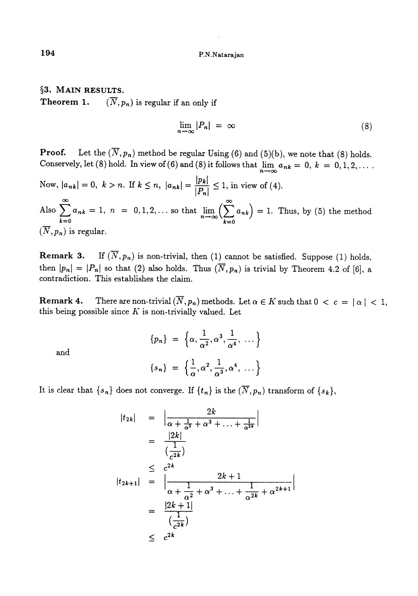§3. MAIN RESULTS. **Theorem 1.**  $(\overline{N},p_n)$  is regular if an only if

$$
\lim_{n \to \infty} |P_n| = \infty \tag{8}
$$

**Proof.** Let the  $(\overline{N}, p_n)$  method be regular Using (6) and (5)(b), we note that (8) holds. Conservely, let (8) hold. In view of (6) and (8) it follows that  $\lim_{n\to\infty} a_{nk} = 0, k = 0, 1, 2, ...$ 

Now,  $|a_{nk}| = 0$ ,  $k > n$ . If  $k \le n$ ,  $|a_{nk}| = \frac{|p_k|}{|P_n|} \le 1$ , in view of (4). Also  $\sum_{k=0}^{\infty} a_{nk} = 1$ ,  $n = 0, 1, 2, \ldots$  so that  $\lim_{n \to \infty} \left( \sum_{k=0}^{\infty} a_{nk} \right) = 1$ . Thus, by (5) the method  $(\overline{N}, p_n)$  is regular.

**Remark 3.** If  $(\overline{N}, p_n)$  is non-trivial, then (1) cannot be satisfied. Suppose (1) holds, then  $|p_n| = |P_n|$  so that (2) also holds. Thus  $(\overline{N}, p_n)$  is trivial by Theorem 4.2 of [6], a contradiction. This establishes the claim.

**Remark 4.** There are non-trivial  $(\overline{N}, p_n)$  methods. Let  $\alpha \in K$  such that  $0 < c = |\alpha| < 1$ , this being possible since  $K$  is non-trivially valued. Let

$$
\{p_n\} = \left\{\alpha, \frac{1}{\alpha^2}, \alpha^3, \frac{1}{\alpha^4}, \ldots\right\}
$$

and

$$
\{s_n\} = \left\{\frac{1}{\alpha}, \alpha^2, \frac{1}{\alpha^3}, \alpha^4, \ldots\right\}
$$

It is clear that  $\{s_n\}$  does not converge. If  $\{t_n\}$  is the  $(\overline{N}, p_n)$  transform of  $\{s_k\},$ 

$$
|t_{2k}| = \left| \frac{2k}{\alpha + \frac{1}{\alpha^2} + \alpha^3 + \dots + \frac{1}{\alpha^{2k}}} \right|
$$
  
\n
$$
= \frac{|2k|}{\left(\frac{1}{c^{2k}}\right)}
$$
  
\n
$$
\leq c^{2k}
$$
  
\n
$$
|t_{2k+1}| = \left| \frac{2k + 1}{\alpha + \frac{1}{\alpha^2} + \alpha^3 + \dots + \frac{1}{\alpha^{2k}} + \alpha^{2k+1}} \right|
$$
  
\n
$$
= \frac{|2k + 1|}{\left(\frac{1}{c^{2k}}\right)}
$$
  
\n
$$
\leq c^{2k}
$$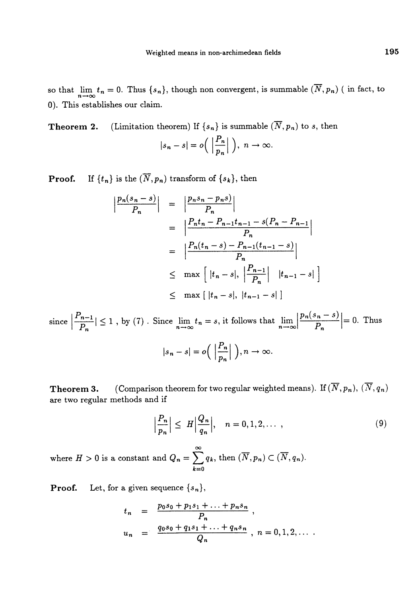so that  $\lim_{n\to\infty} t_n = 0$ . Thus  $\{s_n\}$ , though non convergent, is summable  $(\overline{N}, p_n)$  (in fact, to 0). This establishes our claim.

**Theorem 2.** (Limitation theorem) If  $\{s_n\}$  is summable  $(\overline{N}, p_n)$  to s, then  $|s_n - s| = o\left(\left|\frac{P_n}{p_n}\right|\right), \ n \to \infty.$ 

**Proof.** If  $\{t_n\}$  is the  $(\overline{N}, p_n)$  transform of  $\{s_k\}$ , then

$$
\left| \frac{p_n(s_n - s)}{P_n} \right| = \left| \frac{p_n s_n - p_n s}{P_n} \right|
$$
  
= 
$$
\left| \frac{P_n t_n - P_{n-1} t_{n-1} - s(P_n - P_{n-1})}{P_n} \right|
$$
  
= 
$$
\left| \frac{P_n(t_n - s) - P_{n-1}(t_{n-1} - s)}{P_n} \right|
$$
  

$$
\leq \max \left[ |t_n - s|, \left| \frac{P_{n-1}}{P_n} \right| |t_{n-1} - s| \right]
$$
  

$$
\leq \max \left[ |t_n - s|, |t_{n-1} - s| \right]
$$

since  $\left|\frac{n-1}{p_n}\right| \leq 1$ , by (7). Since  $\lim_{n\to\infty} t_n = s$ , it follows that  $\lim_{n\to\infty} \left|\frac{p_n(s_n - s)}{p_n}\right| = 0$ . Thus  $|s_n - s| = o\left(\left|\frac{P_n}{p_n}\right|\right), n \to \infty.$ 

**Theorem 3.** (Comparison theorem for two regular weighted means). If  $(\overline{N}, p_n)$ ,  $(\overline{N}, q_n)$ are two regular methods and if

$$
\left|\frac{P_n}{p_n}\right| \le H \left|\frac{Q_n}{q_n}\right|, \quad n = 0, 1, 2, \dots \tag{9}
$$

where  $H > 0$  is a constant and  $Q_n = \sum_{n=1}^{\infty} q_k$ , then  $(\overline{N}, p_n) \subset (\overline{N}, q_n)$ .  $k=0$ 

**Proof.** Let, for a given sequence  $\{s_n\}$ ,

$$
t_n = \frac{p_0 s_0 + p_1 s_1 + \ldots + p_n s_n}{P_n},
$$
  

$$
u_n = \frac{q_0 s_0 + q_1 s_1 + \ldots + q_n s_n}{Q_n}, n = 0, 1, 2, \ldots
$$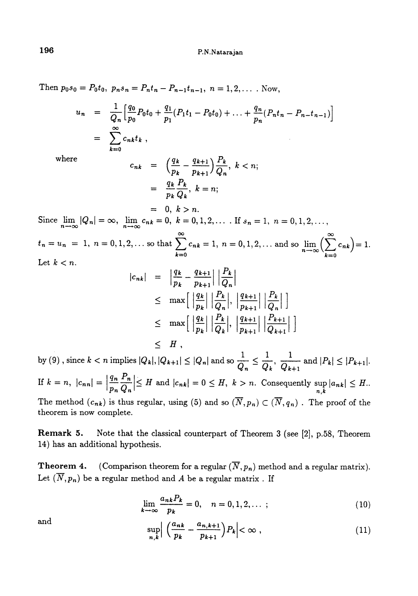Then  $p_0s_0 = P_0t_0$ ,  $p_ns_n = P_nt_n - P_{n-1}t_{n-1}$ ,  $n = 1, 2, ...$ . Now,

$$
u_n = \frac{1}{Q_n} \Big[ \frac{q_0}{p_0} P_0 t_0 + \frac{q_1}{p_1} (P_1 t_1 - P_0 t_0) + \ldots + \frac{q_n}{p_n} (P_n t_n - P_{n-1} t_{n-1}) \Big]
$$
  
= 
$$
\sum_{k=0}^{\infty} c_{nk} t_k,
$$

where

$$
c_{nk} = \left(\frac{q_k}{p_k} - \frac{q_{k+1}}{p_{k+1}}\right) \frac{P_k}{Q_n}, \ k < n; \\
= \frac{q_k}{p_k} \frac{P_k}{Q_k}, \ k = n; \\
= 0, \ k > n.
$$

Since  $\lim_{n \to \infty} |Q_n| = \infty$ ,  $\lim_{n \to \infty} c_{nk} = 0$ ,  $k = 0, 1, 2, \ldots$  If  $s_n = 1$ ,  $n = 0, 1, 2, \ldots$  $\infty$  m of  $\infty$  $t_n = u_n = 1, n = 0, 1, 2, ...$  so that  $\sum_{k=0}^{\infty} c_{nk} = 1, n = 0, 1, 2, ...$  and so  $\lim_{n \to \infty} \left( \sum_{k=0}^{\infty} c_{nk} \right) = 1.$ Let  $k < n$ .

$$
|c_{nk}| = \left|\frac{q_k}{p_k} - \frac{q_{k+1}}{p_{k+1}}\right| \left|\frac{P_k}{Q_n}\right|
$$
  
\n
$$
\leq \max\left[\left|\frac{q_k}{p_k}\right| \left|\frac{P_k}{Q_n}\right|, \left|\frac{q_{k+1}}{p_{k+1}}\right| \left|\frac{P_k}{Q_n}\right|\right]
$$
  
\n
$$
\leq \max\left[\left|\frac{q_k}{p_k}\right| \left|\frac{P_k}{Q_k}\right|, \left|\frac{q_{k+1}}{p_{k+1}}\right| \left|\frac{P_{k+1}}{Q_{k+1}}\right|\right]
$$
  
\n
$$
\leq H,
$$

by (9), since  $k < n$  implies  $|Q_k|, |Q_{k+1}| \leq |Q_n|$  and so  $\frac{1}{Q_n} \leq \frac{1}{Q_k}$ ,  $\frac{1}{Q_{k+1}}$  and  $|P_k| \leq |P_{k+1}|$ .

If  $k = n$ ,  $|c_{nn}| = \left|\frac{q_n}{p_n} \frac{F_n}{Q_n}\right| \leq H$  and  $|c_{nk}| = 0 \leq H$ ,  $k > n$ . Consequently  $\sup_{n,k} |a_{nk}| \leq H$ . The method  $(c_{nk})$  is thus regular, using (5) and so  $(\overline{N}, p_n) \subset (\overline{N}, q_n)$ . The proof of the theorem is now complete.

Remark 5. Note that the classical counterpart of Theorem 3 (see [2], p.58, Theorem 14) has an additional hypothesis.

**Theorem 4.** (Comparison theorem for a regular  $(\overline{N}, p_n)$  method and a regular matrix). Let  $(\overline{N}, p_n)$  be a regular method and A be a regular matrix. If

$$
\lim_{k \to \infty} \frac{a_{nk} P_k}{p_k} = 0, \quad n = 0, 1, 2, \dots ; \tag{10}
$$

and 
$$
\sup_{n,k} \left| \left( \frac{a_{nk}}{p_k} - \frac{a_{n,k+1}}{p_{k+1}} \right) P_k \right| < \infty , \qquad (11)
$$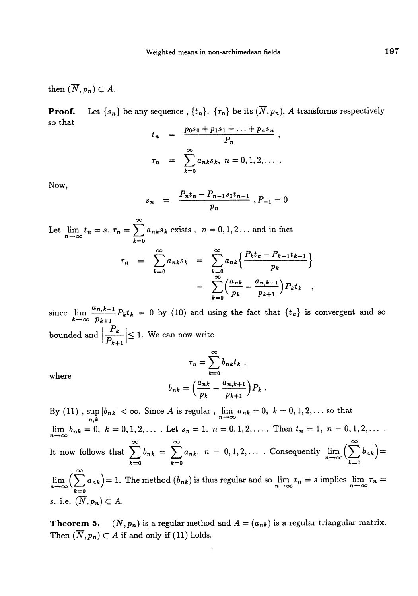then  $(\overline{N},p_n)\subset A$ .

**Proof.** Let  $\{s_n\}$  be any sequence,  $\{t_n\}$ ,  $\{\tau_n\}$  be its  $(\overline{N}, p_n)$ , A transforms respectively so that

$$
t_n = \frac{p_0 s_0 + p_1 s_1 + \dots + p_n s_n}{P_n},
$$
  

$$
\tau_n = \sum_{k=0}^{\infty} a_{nk} s_k, n = 0, 1, 2, \dots
$$

Now,

$$
s_n = \frac{P_n t_n - P_{n-1} s_1 t_{n-1}}{p_n}, P_{-1} = 0
$$

Let  $\lim_{n \to \infty} t_n = s$ .  $\tau_n = \sum_{n=1}^{\infty} a_{nk}s_k$  exists ,  $n = 0, 1, 2...$  and in fact  $\tau_n = \sum_{k=0}^{\infty} a_{nk} s_k = \sum_{k=0}^{\infty} a_{nk} \left\{ \frac{P_k t_k - P_{k-1} t_{k-1}}{p_k} \right\}$  $=\sum_{k=0}^{\infty} \left(\frac{a_{nk}}{k}-\frac{a_{n,k+1}}{k}\right) P_k t_k$  $k=0$   $p_k$   $p_{k+1}$ 

since  $\lim_{k \to \infty} \frac{a_{n,k+1}}{p_{k+1}} P_k t_k = 0$  by (10) and using the fact that  $\{t_k\}$  is convergent and so bounded and  $\left|\frac{P_k}{P_{k+1}}\right| \leq 1$ . We can now write

where  
\n
$$
b_{nk} = \left(\frac{a_{nk}}{p_k} - \frac{a_{n,k+1}}{p_{k+1}}\right)P_k.
$$

 $\sum_{k=1}^{\infty} b_k$ 

By (11),  $\sup_{n,k} |b_{nk}| < \infty$ . Since A is regular,  $\lim_{n \to \infty} a_{nk} = 0, k = 0,1,2,...$  so that  $\lim_{n \to \infty} b_{nk} = 0, k = 0, 1, 2, \ldots$ . Let  $s_n = 1, n = 0, 1, 2, \ldots$ . Then  $t_n = 1, n = 0, 1, 2, \ldots$ 00 00 00 It now follows that  $\sum_{k=0}b_{nk} = \sum_{k=0}a_{nk}$ ,  $n = 0,1,2,...$  Consequently  $\lim_{n\to\infty}(\sum_{k=0}$  $\lim_{n \to \infty} \left( \sum_{k=0}^{\infty} a_{nk} \right) = 1$ . The method  $(b_{nk})$  is thus regular and so  $\lim_{n \to \infty} t_n = s$  implies  $\lim_{n \to \infty} \tau_n =$ s. i.e.  $(\overline{N}, p_n) \subset A$ .

**Theorem 5.**  $(\overline{N}, p_n)$  is a regular method and  $A = (a_{nk})$  is a regular triangular matrix. Then  $(\overline{N}, p_n) \subset A$  if and only if (11) holds.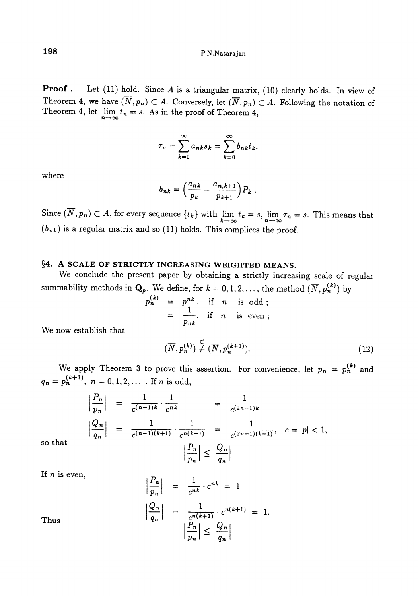**Proof.** Let  $(11)$  hold. Since A is a triangular matrix,  $(10)$  clearly holds. In view of Theorem 4, we have  $(\overline{N}, p_n) \subset A$ . Conversely, let  $(\overline{N}, p_n) \subset A$ . Following the notation of Theorem 4, let  $\lim_{n \to \infty} t_n = s$ . As in the proof of Theorem 4,

$$
\tau_n = \sum_{k=0}^{\infty} a_{nk} s_k = \sum_{k=0}^{\infty} b_{nk} t_k,
$$

where

$$
b_{nk} = \left(\frac{a_{nk}}{p_k} - \frac{a_{n,k+1}}{p_{k+1}}\right)P_k.
$$

Since  $(\overline{N}, p_n) \subset A$ , for every sequence  $\{t_k\}$  with  $\lim_{k \to \infty} t_k = s$ ,  $\lim_{n \to \infty} \tau_n = s$ . This means that  $(b_{nk})$  is a regular matrix and so (11) holds. This complices the proof.

## §4. A SCALE OF STRICTLY INCREASING WEIGHTED MEANS.

 $\boldsymbol{p}$ 

We conclude the present paper by obtaining a strictly increasing scale of regular summability methods in  $\mathbf{Q}_p$ . We define, for  $k = 0, 1, 2, \ldots$ , the method  $(\overline{N}, p_n^{(k)})$  by

$$
\begin{array}{rcl}\n\text{(k)} & = & p^{nk}, \quad \text{if} \quad n \quad \text{is odd}; \\
& = & \frac{1}{p_{nk}}, \quad \text{if} \quad n \quad \text{is even};\n\end{array}
$$

We now establish that

$$
(\overline{N}, p_n^{(k)}) \stackrel{\mathsf{C}}{\neq} (\overline{N}, p_n^{(k+1)}).
$$
 (12)

We apply Theorem 3 to prove this assertion. For convenience, let  $p_n = p_n^{(k)}$  and  $q_n=p_n^{(k+1)}, n=0,1,2,...$  If n is odd,

$$
\left|\frac{P_n}{p_n}\right| = \frac{1}{c^{(n-1)k}} \cdot \frac{1}{c^{nk}} = \frac{1}{c^{(2n-1)k}}
$$

$$
\left|\frac{Q_n}{q_n}\right| = \frac{1}{c^{(n-1)(k+1)}} \cdot \frac{1}{c^{n(k+1)}} = \frac{1}{c^{(2n-1)(k+1)}}, \quad c = |p| < 1,
$$

$$
\left|\frac{P_n}{p_n}\right| \le \left|\frac{Q_n}{q_n}\right|
$$

 $\mathbf{1}$ 

so that

If *n* is even,  $|P_n|$ 

Thus  
\n
$$
\left|\frac{P_n}{p_n}\right| = \frac{1}{c^{nk}} \cdot c^{nk} = 1
$$
\n
$$
\left|\frac{Q_n}{q_n}\right| = \frac{1}{c^{n(k+1)}} \cdot c^{n(k+1)} = 1
$$
\n
$$
\left|\frac{P_n}{p_n}\right| \le \left|\frac{Q_n}{q_n}\right|
$$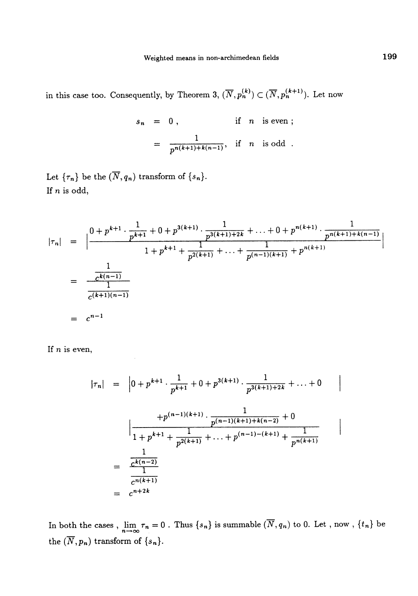in this case too. Consequently, by Theorem 3,  $(\overline{N}, p_n^{(k)}) \subset (\overline{N}, p_n^{(k+1)})$ . Let now

$$
s_n = 0, \t\t \text{if } n \text{ is even ;}
$$
  
= 
$$
\frac{1}{p^{n(k+1)+k(n-1)}}, \text{ if } n \text{ is odd .}
$$

Let  ${ \tau_n \}$  be the  $(\overline{N}, q_n)$  transform of  ${ s_n }$ . If n is odd,

$$
|\tau_n| = \left| \frac{0 + p^{k+1} \cdot \frac{1}{p^{k+1}} + 0 + p^{3(k+1)} \cdot \frac{1}{p^{3(k+1)+2k}} + \ldots + 0 + p^{n(k+1)} \cdot \frac{1}{p^{n(k+1)+k(n-1)}}}{1 + p^{k+1} + \frac{1}{p^{2(k+1)}} + \ldots + \frac{1}{p^{(n-1)(k+1)}} + p^{n(k+1)}} \right|
$$
  
= 
$$
\frac{\frac{1}{c^{k(n-1)}}}{\frac{1}{c^{(k+1)(n-1)}}}
$$
  
= 
$$
c^{n-1}
$$

If  $n$  is even,

$$
|\tau_n| = |0 + p^{k+1} \cdot \frac{1}{p^{k+1}} + 0 + p^{3(k+1)} \cdot \frac{1}{p^{3(k+1)+2k}} + \dots + 0
$$
  

$$
\Big| \frac{+p^{(n-1)(k+1)} \cdot \frac{1}{p^{(n-1)(k+1)+k(n-2)}} + 0}{1 + p^{k+1} + \frac{1}{p^{2(k+1)}} + \dots + p^{(n-1)-(k+1)} + \frac{1}{p^{n(k+1)}}}
$$
  

$$
= \frac{\frac{1}{c^{k(n-2)}}}{\frac{1}{c^{n(k+1)}}}
$$
  

$$
= c^{n+2k}
$$

In both the cases,  $\lim_{n\to\infty} \tau_n = 0$ . Thus  $\{s_n\}$  is summable  $(\overline{N}, q_n)$  to 0. Let, now,  $\{t_n\}$  be the  $(\overline{N},p_n)$  transform of  $\{s_n\}.$